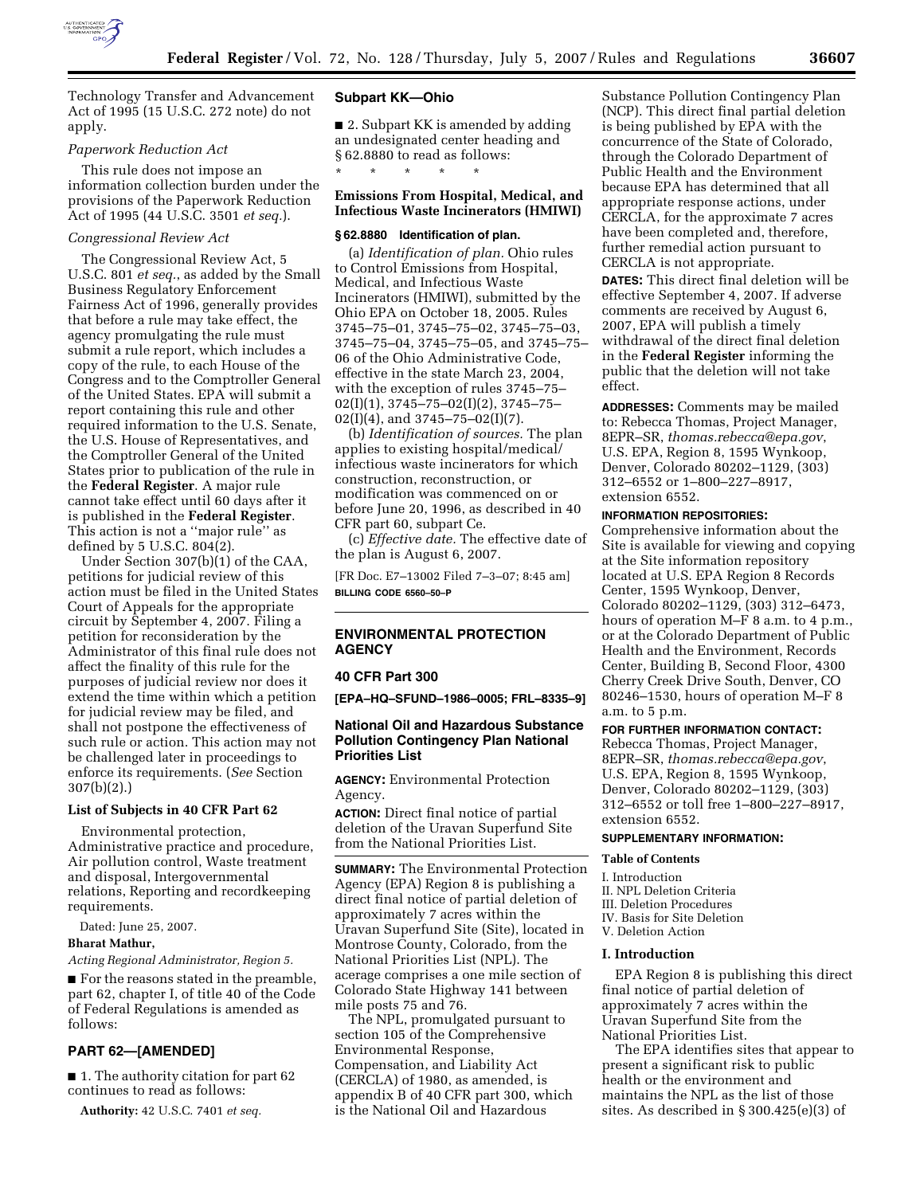

Technology Transfer and Advancement Act of 1995 (15 U.S.C. 272 note) do not apply.

### *Paperwork Reduction Act*

This rule does not impose an information collection burden under the provisions of the Paperwork Reduction Act of 1995 (44 U.S.C. 3501 *et seq.*).

### *Congressional Review Act*

The Congressional Review Act, 5 U.S.C. 801 *et seq.*, as added by the Small Business Regulatory Enforcement Fairness Act of 1996, generally provides that before a rule may take effect, the agency promulgating the rule must submit a rule report, which includes a copy of the rule, to each House of the Congress and to the Comptroller General of the United States. EPA will submit a report containing this rule and other required information to the U.S. Senate, the U.S. House of Representatives, and the Comptroller General of the United States prior to publication of the rule in the **Federal Register**. A major rule cannot take effect until 60 days after it is published in the **Federal Register**. This action is not a ''major rule'' as defined by  $5 \text{ U.S.C. } 804(2)$ .

Under Section 307(b)(1) of the CAA, petitions for judicial review of this action must be filed in the United States Court of Appeals for the appropriate circuit by September 4, 2007. Filing a petition for reconsideration by the Administrator of this final rule does not affect the finality of this rule for the purposes of judicial review nor does it extend the time within which a petition for judicial review may be filed, and shall not postpone the effectiveness of such rule or action. This action may not be challenged later in proceedings to enforce its requirements. (*See* Section 307(b)(2).)

### **List of Subjects in 40 CFR Part 62**

Environmental protection, Administrative practice and procedure, Air pollution control, Waste treatment and disposal, Intergovernmental relations, Reporting and recordkeeping requirements.

Dated: June 25, 2007.

### **Bharat Mathur,**

*Acting Regional Administrator, Region 5.* 

■ For the reasons stated in the preamble, part 62, chapter I, of title 40 of the Code of Federal Regulations is amended as follows:

# **PART 62—[AMENDED]**

■ 1. The authority citation for part 62 continues to read as follows:

**Authority:** 42 U.S.C. 7401 *et seq.* 

### **Subpart KK—Ohio**

■ 2. Subpart KK is amended by adding an undesignated center heading and § 62.8880 to read as follows: \* \* \* \* \*

### **Emissions From Hospital, Medical, and Infectious Waste Incinerators (HMIWI)**

### **§ 62.8880 Identification of plan.**

(a) *Identification of plan.* Ohio rules to Control Emissions from Hospital, Medical, and Infectious Waste Incinerators (HMIWI), submitted by the Ohio EPA on October 18, 2005. Rules 3745–75–01, 3745–75–02, 3745–75–03, 3745–75–04, 3745–75–05, and 3745–75– 06 of the Ohio Administrative Code, effective in the state March 23, 2004, with the exception of rules 3745–75–  $02(I)(1), 3745-75-02(I)(2), 3745-75 02(I)(4)$ , and  $3745-75-02(I)(7)$ .

(b) *Identification of sources.* The plan applies to existing hospital/medical/ infectious waste incinerators for which construction, reconstruction, or modification was commenced on or before June 20, 1996, as described in 40 CFR part 60, subpart Ce.

(c) *Effective date.* The effective date of the plan is August 6, 2007.

[FR Doc. E7–13002 Filed 7–3–07; 8:45 am] **BILLING CODE 6560–50–P** 

# **ENVIRONMENTAL PROTECTION AGENCY**

### **40 CFR Part 300**

**[EPA–HQ–SFUND–1986–0005; FRL–8335–9]** 

## **National Oil and Hazardous Substance Pollution Contingency Plan National Priorities List**

**AGENCY:** Environmental Protection Agency.

**ACTION:** Direct final notice of partial deletion of the Uravan Superfund Site from the National Priorities List.

**SUMMARY:** The Environmental Protection Agency (EPA) Region 8 is publishing a direct final notice of partial deletion of approximately 7 acres within the Uravan Superfund Site (Site), located in Montrose County, Colorado, from the National Priorities List (NPL). The acerage comprises a one mile section of Colorado State Highway 141 between mile posts 75 and 76.

The NPL, promulgated pursuant to section 105 of the Comprehensive Environmental Response, Compensation, and Liability Act (CERCLA) of 1980, as amended, is appendix B of 40 CFR part 300, which is the National Oil and Hazardous

Substance Pollution Contingency Plan (NCP). This direct final partial deletion is being published by EPA with the concurrence of the State of Colorado, through the Colorado Department of Public Health and the Environment because EPA has determined that all appropriate response actions, under CERCLA, for the approximate 7 acres have been completed and, therefore, further remedial action pursuant to CERCLA is not appropriate.

**DATES:** This direct final deletion will be effective September 4, 2007. If adverse comments are received by August 6, 2007, EPA will publish a timely withdrawal of the direct final deletion in the **Federal Register** informing the public that the deletion will not take effect.

**ADDRESSES:** Comments may be mailed to: Rebecca Thomas, Project Manager, 8EPR–SR, *thomas.rebecca@epa.gov*, U.S. EPA, Region 8, 1595 Wynkoop, Denver, Colorado 80202–1129, (303) 312–6552 or 1–800–227–8917, extension 6552.

### **INFORMATION REPOSITORIES:**

Comprehensive information about the Site is available for viewing and copying at the Site information repository located at U.S. EPA Region 8 Records Center, 1595 Wynkoop, Denver, Colorado 80202–1129, (303) 312–6473, hours of operation M–F 8 a.m. to 4 p.m., or at the Colorado Department of Public Health and the Environment, Records Center, Building B, Second Floor, 4300 Cherry Creek Drive South, Denver, CO 80246–1530, hours of operation M–F 8 a.m. to 5 p.m.

#### **FOR FURTHER INFORMATION CONTACT:**

Rebecca Thomas, Project Manager, 8EPR–SR, *thomas.rebecca@epa.gov*, U.S. EPA, Region 8, 1595 Wynkoop, Denver, Colorado 80202–1129, (303) 312–6552 or toll free 1–800–227–8917, extension 6552.

# **SUPPLEMENTARY INFORMATION:**

#### **Table of Contents**

- I. Introduction
- II. NPL Deletion Criteria
- III. Deletion Procedures
- IV. Basis for Site Deletion
- V. Deletion Action

#### **I. Introduction**

EPA Region 8 is publishing this direct final notice of partial deletion of approximately 7 acres within the Uravan Superfund Site from the National Priorities List.

The EPA identifies sites that appear to present a significant risk to public health or the environment and maintains the NPL as the list of those sites. As described in § 300.425(e)(3) of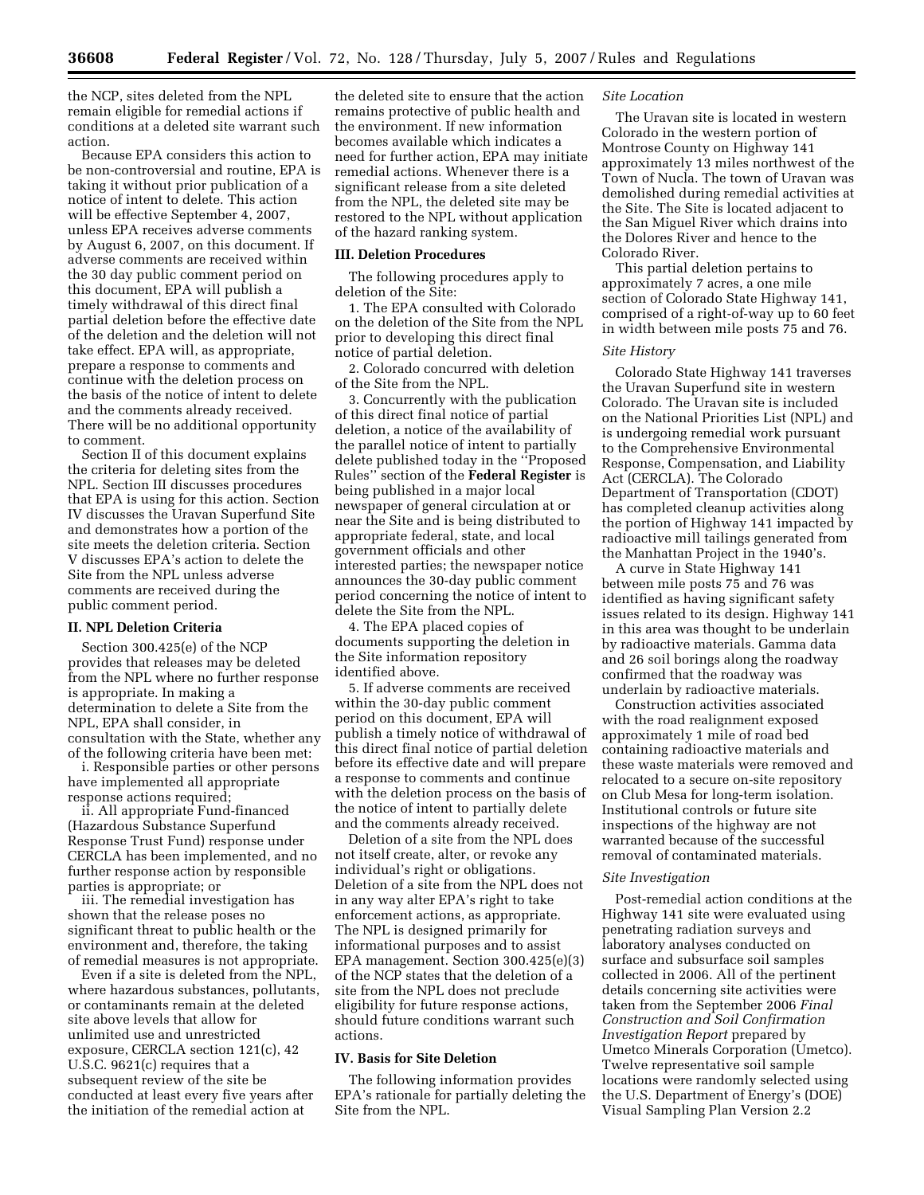the NCP, sites deleted from the NPL remain eligible for remedial actions if conditions at a deleted site warrant such action.

Because EPA considers this action to be non-controversial and routine, EPA is taking it without prior publication of a notice of intent to delete. This action will be effective September 4, 2007, unless EPA receives adverse comments by August 6, 2007, on this document. If adverse comments are received within the 30 day public comment period on this document, EPA will publish a timely withdrawal of this direct final partial deletion before the effective date of the deletion and the deletion will not take effect. EPA will, as appropriate, prepare a response to comments and continue with the deletion process on the basis of the notice of intent to delete and the comments already received. There will be no additional opportunity to comment.

Section II of this document explains the criteria for deleting sites from the NPL. Section III discusses procedures that EPA is using for this action. Section IV discusses the Uravan Superfund Site and demonstrates how a portion of the site meets the deletion criteria. Section V discusses EPA's action to delete the Site from the NPL unless adverse comments are received during the public comment period.

### **II. NPL Deletion Criteria**

Section 300.425(e) of the NCP provides that releases may be deleted from the NPL where no further response is appropriate. In making a determination to delete a Site from the NPL, EPA shall consider, in consultation with the State, whether any of the following criteria have been met:

i. Responsible parties or other persons have implemented all appropriate response actions required;

ii. All appropriate Fund-financed (Hazardous Substance Superfund Response Trust Fund) response under CERCLA has been implemented, and no further response action by responsible parties is appropriate; or

iii. The remedial investigation has shown that the release poses no significant threat to public health or the environment and, therefore, the taking of remedial measures is not appropriate.

Even if a site is deleted from the NPL, where hazardous substances, pollutants, or contaminants remain at the deleted site above levels that allow for unlimited use and unrestricted exposure, CERCLA section 121(c), 42 U.S.C. 9621(c) requires that a subsequent review of the site be conducted at least every five years after the initiation of the remedial action at

the deleted site to ensure that the action remains protective of public health and the environment. If new information becomes available which indicates a need for further action, EPA may initiate remedial actions. Whenever there is a significant release from a site deleted from the NPL, the deleted site may be restored to the NPL without application of the hazard ranking system.

### **III. Deletion Procedures**

The following procedures apply to deletion of the Site:

1. The EPA consulted with Colorado on the deletion of the Site from the NPL prior to developing this direct final notice of partial deletion.

2. Colorado concurred with deletion of the Site from the NPL.

3. Concurrently with the publication of this direct final notice of partial deletion, a notice of the availability of the parallel notice of intent to partially delete published today in the ''Proposed Rules'' section of the **Federal Register** is being published in a major local newspaper of general circulation at or near the Site and is being distributed to appropriate federal, state, and local government officials and other interested parties; the newspaper notice announces the 30-day public comment period concerning the notice of intent to delete the Site from the NPL.

4. The EPA placed copies of documents supporting the deletion in the Site information repository identified above.

5. If adverse comments are received within the 30-day public comment period on this document, EPA will publish a timely notice of withdrawal of this direct final notice of partial deletion before its effective date and will prepare a response to comments and continue with the deletion process on the basis of the notice of intent to partially delete and the comments already received.

Deletion of a site from the NPL does not itself create, alter, or revoke any individual's right or obligations. Deletion of a site from the NPL does not in any way alter EPA's right to take enforcement actions, as appropriate. The NPL is designed primarily for informational purposes and to assist EPA management. Section 300.425(e)(3) of the NCP states that the deletion of a site from the NPL does not preclude eligibility for future response actions, should future conditions warrant such actions.

### **IV. Basis for Site Deletion**

The following information provides EPA's rationale for partially deleting the Site from the NPL.

### *Site Location*

The Uravan site is located in western Colorado in the western portion of Montrose County on Highway 141 approximately 13 miles northwest of the Town of Nucla. The town of Uravan was demolished during remedial activities at the Site. The Site is located adjacent to the San Miguel River which drains into the Dolores River and hence to the Colorado River.

This partial deletion pertains to approximately 7 acres, a one mile section of Colorado State Highway 141, comprised of a right-of-way up to 60 feet in width between mile posts 75 and 76.

#### *Site History*

Colorado State Highway 141 traverses the Uravan Superfund site in western Colorado. The Uravan site is included on the National Priorities List (NPL) and is undergoing remedial work pursuant to the Comprehensive Environmental Response, Compensation, and Liability Act (CERCLA). The Colorado Department of Transportation (CDOT) has completed cleanup activities along the portion of Highway 141 impacted by radioactive mill tailings generated from the Manhattan Project in the 1940's.

A curve in State Highway 141 between mile posts 75 and 76 was identified as having significant safety issues related to its design. Highway 141 in this area was thought to be underlain by radioactive materials. Gamma data and 26 soil borings along the roadway confirmed that the roadway was underlain by radioactive materials.

Construction activities associated with the road realignment exposed approximately 1 mile of road bed containing radioactive materials and these waste materials were removed and relocated to a secure on-site repository on Club Mesa for long-term isolation. Institutional controls or future site inspections of the highway are not warranted because of the successful removal of contaminated materials.

#### *Site Investigation*

Post-remedial action conditions at the Highway 141 site were evaluated using penetrating radiation surveys and laboratory analyses conducted on surface and subsurface soil samples collected in 2006. All of the pertinent details concerning site activities were taken from the September 2006 *Final Construction and Soil Confirmation Investigation Report* prepared by Umetco Minerals Corporation (Umetco). Twelve representative soil sample locations were randomly selected using the U.S. Department of Energy's (DOE) Visual Sampling Plan Version 2.2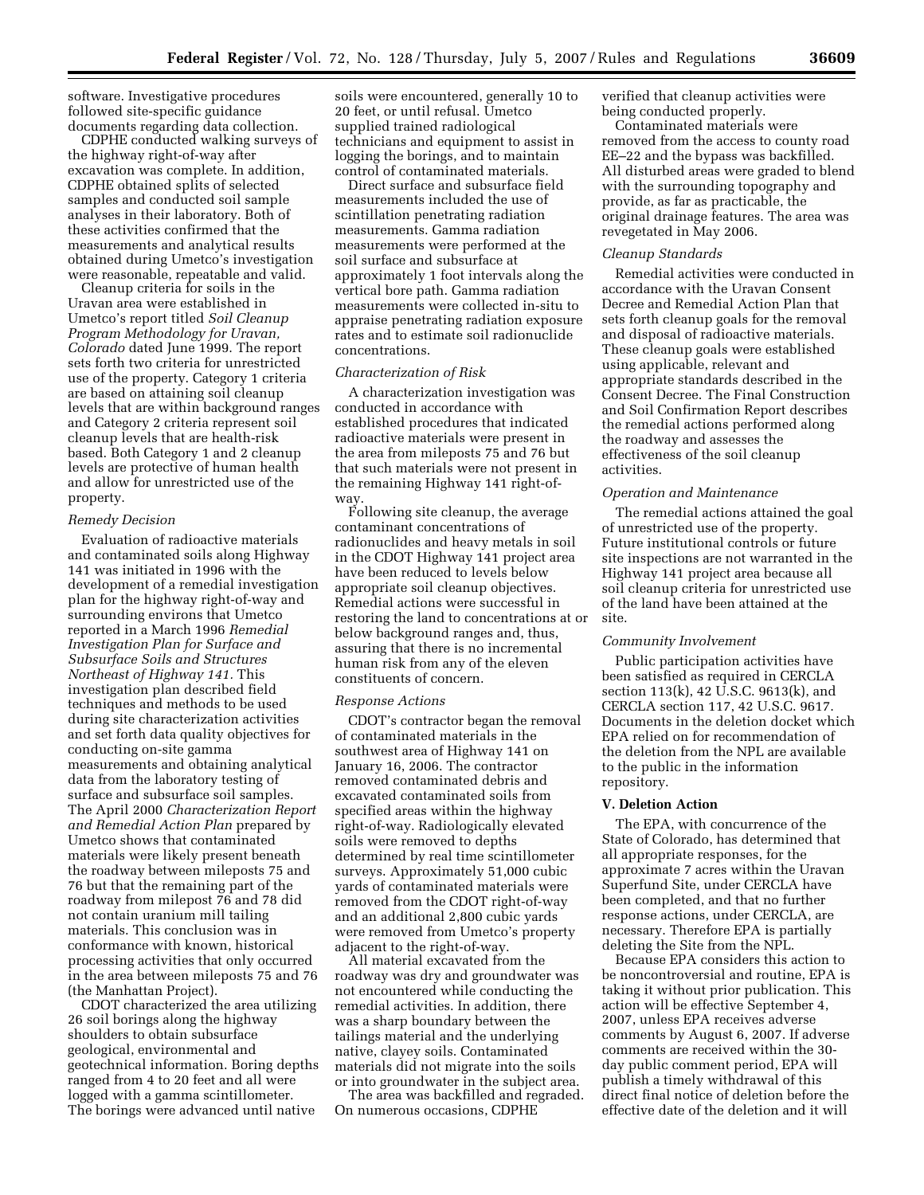software. Investigative procedures followed site-specific guidance documents regarding data collection.

CDPHE conducted walking surveys of the highway right-of-way after excavation was complete. In addition, CDPHE obtained splits of selected samples and conducted soil sample analyses in their laboratory. Both of these activities confirmed that the measurements and analytical results obtained during Umetco's investigation were reasonable, repeatable and valid.

Cleanup criteria for soils in the Uravan area were established in Umetco's report titled *Soil Cleanup Program Methodology for Uravan, Colorado* dated June 1999. The report sets forth two criteria for unrestricted use of the property. Category 1 criteria are based on attaining soil cleanup levels that are within background ranges and Category 2 criteria represent soil cleanup levels that are health-risk based. Both Category 1 and 2 cleanup levels are protective of human health and allow for unrestricted use of the property.

## *Remedy Decision*

Evaluation of radioactive materials and contaminated soils along Highway 141 was initiated in 1996 with the development of a remedial investigation plan for the highway right-of-way and surrounding environs that Umetco reported in a March 1996 *Remedial Investigation Plan for Surface and Subsurface Soils and Structures Northeast of Highway 141.* This investigation plan described field techniques and methods to be used during site characterization activities and set forth data quality objectives for conducting on-site gamma measurements and obtaining analytical data from the laboratory testing of surface and subsurface soil samples. The April 2000 *Characterization Report and Remedial Action Plan* prepared by Umetco shows that contaminated materials were likely present beneath the roadway between mileposts 75 and 76 but that the remaining part of the roadway from milepost 76 and 78 did not contain uranium mill tailing materials. This conclusion was in conformance with known, historical processing activities that only occurred in the area between mileposts 75 and 76 (the Manhattan Project).

CDOT characterized the area utilizing 26 soil borings along the highway shoulders to obtain subsurface geological, environmental and geotechnical information. Boring depths ranged from 4 to 20 feet and all were logged with a gamma scintillometer. The borings were advanced until native

soils were encountered, generally 10 to 20 feet, or until refusal. Umetco supplied trained radiological technicians and equipment to assist in logging the borings, and to maintain control of contaminated materials.

Direct surface and subsurface field measurements included the use of scintillation penetrating radiation measurements. Gamma radiation measurements were performed at the soil surface and subsurface at approximately 1 foot intervals along the vertical bore path. Gamma radiation measurements were collected in-situ to appraise penetrating radiation exposure rates and to estimate soil radionuclide concentrations.

### *Characterization of Risk*

A characterization investigation was conducted in accordance with established procedures that indicated radioactive materials were present in the area from mileposts 75 and 76 but that such materials were not present in the remaining Highway 141 right-ofway

Following site cleanup, the average contaminant concentrations of radionuclides and heavy metals in soil in the CDOT Highway 141 project area have been reduced to levels below appropriate soil cleanup objectives. Remedial actions were successful in restoring the land to concentrations at or below background ranges and, thus, assuring that there is no incremental human risk from any of the eleven constituents of concern.

#### *Response Actions*

CDOT's contractor began the removal of contaminated materials in the southwest area of Highway 141 on January 16, 2006. The contractor removed contaminated debris and excavated contaminated soils from specified areas within the highway right-of-way. Radiologically elevated soils were removed to depths determined by real time scintillometer surveys. Approximately 51,000 cubic yards of contaminated materials were removed from the CDOT right-of-way and an additional 2,800 cubic yards were removed from Umetco's property adjacent to the right-of-way.

All material excavated from the roadway was dry and groundwater was not encountered while conducting the remedial activities. In addition, there was a sharp boundary between the tailings material and the underlying native, clayey soils. Contaminated materials did not migrate into the soils or into groundwater in the subject area.

The area was backfilled and regraded. On numerous occasions, CDPHE

verified that cleanup activities were being conducted properly.

Contaminated materials were removed from the access to county road EE–22 and the bypass was backfilled. All disturbed areas were graded to blend with the surrounding topography and provide, as far as practicable, the original drainage features. The area was revegetated in May 2006.

#### *Cleanup Standards*

Remedial activities were conducted in accordance with the Uravan Consent Decree and Remedial Action Plan that sets forth cleanup goals for the removal and disposal of radioactive materials. These cleanup goals were established using applicable, relevant and appropriate standards described in the Consent Decree. The Final Construction and Soil Confirmation Report describes the remedial actions performed along the roadway and assesses the effectiveness of the soil cleanup activities.

#### *Operation and Maintenance*

The remedial actions attained the goal of unrestricted use of the property. Future institutional controls or future site inspections are not warranted in the Highway 141 project area because all soil cleanup criteria for unrestricted use of the land have been attained at the site.

### *Community Involvement*

Public participation activities have been satisfied as required in CERCLA section 113(k), 42 U.S.C. 9613(k), and CERCLA section 117, 42 U.S.C. 9617. Documents in the deletion docket which EPA relied on for recommendation of the deletion from the NPL are available to the public in the information repository.

#### **V. Deletion Action**

The EPA, with concurrence of the State of Colorado, has determined that all appropriate responses, for the approximate 7 acres within the Uravan Superfund Site, under CERCLA have been completed, and that no further response actions, under CERCLA, are necessary. Therefore EPA is partially deleting the Site from the NPL.

Because EPA considers this action to be noncontroversial and routine, EPA is taking it without prior publication. This action will be effective September 4, 2007, unless EPA receives adverse comments by August 6, 2007. If adverse comments are received within the 30 day public comment period, EPA will publish a timely withdrawal of this direct final notice of deletion before the effective date of the deletion and it will